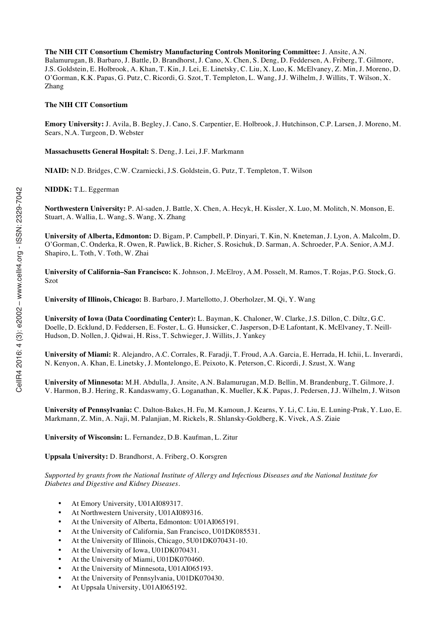**The NIH CIT Consortium Chemistry Manufacturing Controls Monitoring Committee:** J. Ansite, A.N. Balamurugan, B. Barbaro, J. Battle, D. Brandhorst, J. Cano, X. Chen, S. Deng, D. Feddersen, A. Friberg, T. Gilmore, J.S. Goldstein, E. Holbrook, A. Khan, T. Kin, J. Lei, E. Linetsky, C. Liu, X. Luo, K. McElvaney, Z. Min, J. Moreno, D. O'Gorman, K.K. Papas, G. Putz, C. Ricordi, G. Szot, T. Templeton, L. Wang, J.J. Wilhelm, J. Willits, T. Wilson, X. Zhang

#### **The NIH CIT Consortium**

**Emory University:** J. Avila, B. Begley, J. Cano, S. Carpentier, E. Holbrook, J. Hutchinson, C.P. Larsen, J. Moreno, M. Sears, N.A. Turgeon, D. Webster

**Massachusetts General Hospital:** S. Deng, J. Lei, J.F. Markmann

**NIAID:** N.D. Bridges, C.W. Czarniecki, J.S. Goldstein, G. Putz, T. Templeton, T. Wilson

**NIDDK:** T.L. Eggerman

**Northwestern University:** P. Al-saden, J. Battle, X. Chen, A. Hecyk, H. Kissler, X. Luo, M. Molitch, N. Monson, E. Stuart, A. Wallia, L. Wang, S. Wang, X. Zhang

**University of Alberta, Edmonton:** D. Bigam, P. Campbell, P. Dinyari, T. Kin, N. Kneteman, J. Lyon, A. Malcolm, D. O'Gorman, C. Onderka, R. Owen, R. Pawlick, B. Richer, S. Rosichuk, D. Sarman, A. Schroeder, P.A. Senior, A.M.J. Shapiro, L. Toth, V. Toth, W. Zhai

**University of California–San Francisco:** K. Johnson, J. McElroy, A.M. Posselt, M. Ramos, T. Rojas, P.G. Stock, G. Szot

**University of Illinois, Chicago:** B. Barbaro, J. Martellotto, J. Oberholzer, M. Qi, Y. Wang

**University of Iowa (Data Coordinating Center):** L. Bayman, K. Chaloner, W. Clarke, J.S. Dillon, C. Diltz, G.C. Doelle, D. Ecklund, D. Feddersen, E. Foster, L. G. Hunsicker, C. Jasperson, D-E Lafontant, K. McElvaney, T. Neill-Hudson, D. Nollen, J. Qidwai, H. Riss, T. Schwieger, J. Willits, J. Yankey

**University of Miami:** R. Alejandro, A.C. Corrales, R. Faradji, T. Froud, A.A. Garcia, E. Herrada, H. Ichii, L. Inverardi, N. Kenyon, A. Khan, E. Linetsky, J. Montelongo, E. Peixoto, K. Peterson, C. Ricordi, J. Szust, X. Wang

**University of Minnesota:** M.H. Abdulla, J. Ansite, A.N. Balamurugan, M.D. Bellin, M. Brandenburg, T. Gilmore, J. V. Harmon, B.J. Hering, R. Kandaswamy, G. Loganathan, K. Mueller, K.K. Papas, J. Pedersen, J.J. Wilhelm, J. Witson

**University of Pennsylvania:** C. Dalton-Bakes, H. Fu, M. Kamoun, J. Kearns, Y. Li, C. Liu, E. Luning-Prak, Y. Luo, E. Markmann, Z. Min, A. Naji, M. Palanjian, M. Rickels, R. Shlansky-Goldberg, K. Vivek, A.S. Ziaie

**University of Wisconsin:** L. Fernandez, D.B. Kaufman, L. Zitur

**Uppsala University:** D. Brandhorst, A. Friberg, O. Korsgren

*Supported by grants from the National Institute of Allergy and Infectious Diseases and the National Institute for Diabetes and Digestive and Kidney Diseases.*

- At Emory University, U01AI089317.
- At Northwestern University, U01AI089316.
- At the University of Alberta, Edmonton: U01AI065191.
- At the University of California, San Francisco, U01DK085531.
- At the University of Illinois, Chicago, 5U01DK070431-10.
- At the University of Iowa, U01DK070431.
- At the University of Miami, U01DK070460.
- At the University of Minnesota, U01AI065193.
- At the University of Pennsylvania, U01DK070430.
- At Uppsala University, U01AI065192.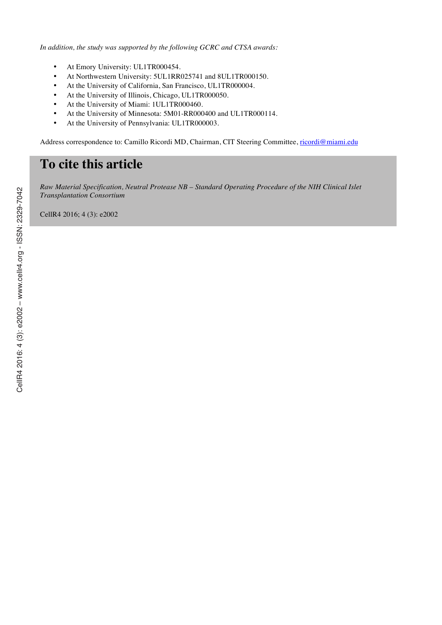*In addition, the study was supported by the following GCRC and CTSA awards:*

- At Emory University: UL1TR000454.
- At Northwestern University: 5UL1RR025741 and 8UL1TR000150.
- At the University of California, San Francisco, UL1TR000004.
- At the University of Illinois, Chicago, UL1TR000050.
- At the University of Miami: 1UL1TR000460.
- At the University of Minnesota: 5M01-RR000400 and UL1TR000114.
- At the University of Pennsylvania: UL1TR000003.

Address correspondence to: Camillo Ricordi MD, Chairman, CIT Steering Committee, ricordi@miami.edu

# **To cite this article**

*Raw Material Specification, Neutral Protease NB – Standard Operating Procedure of the NIH Clinical Islet Transplantation Consortium*

CellR4 2016; 4 (3): e2002